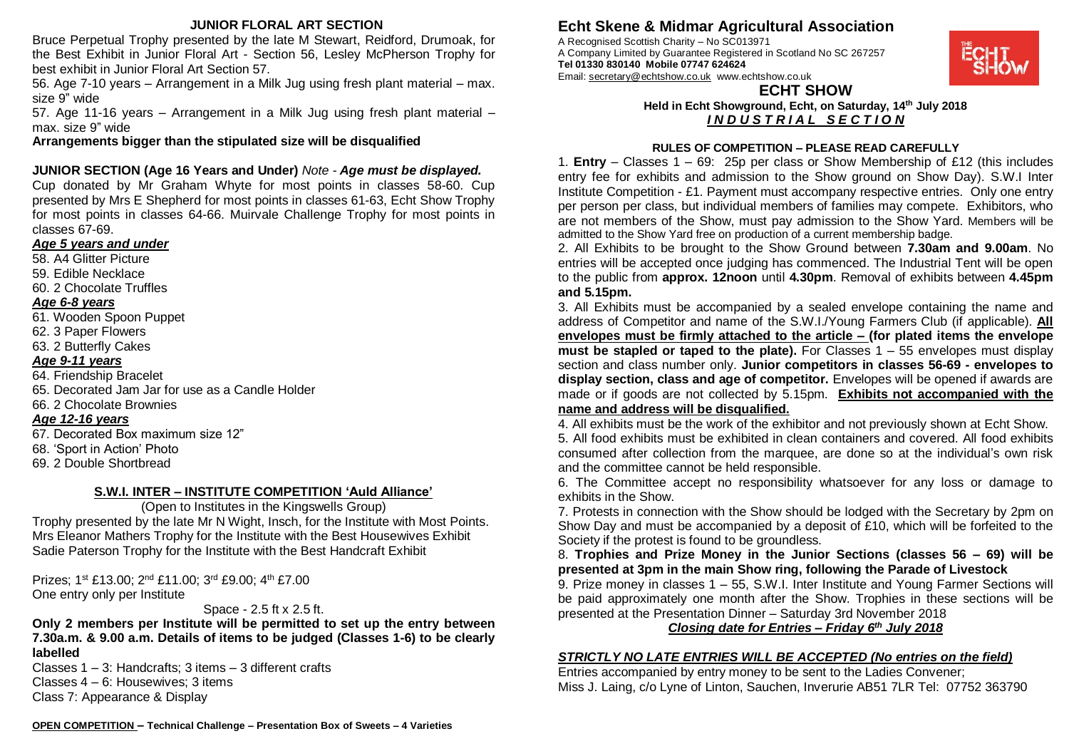### **JUNIOR FLORAL ART SECTION**

Bruce Perpetual Trophy presented by the late M Stewart, Reidford, Drumoak, for the Best Exhibit in Junior Floral Art - Section 56, Lesley McPherson Trophy for best exhibit in Junior Floral Art Section 57.

56. Age 7-10 years – Arrangement in a Milk Jug using fresh plant material – max. size 9" wide

57. Age 11-16 years – Arrangement in a Milk Jug using fresh plant material – max. size 9" wide

**Arrangements bigger than the stipulated size will be disqualified**

## **JUNIOR SECTION (Age 16 Years and Under)** *Note - Age must be displayed.*

Cup donated by Mr Graham Whyte for most points in classes 58-60. Cup presented by Mrs E Shepherd for most points in classes 61-63, Echt Show Trophy for most points in classes 64-66. Muirvale Challenge Trophy for most points in classes 67-69.

### *Age 5 years and under*

- 58. A4 Glitter Picture
- 59. Edible Necklace
- 60. 2 Chocolate Truffles

### *Age 6-8 years*

- 61. Wooden Spoon Puppet
- 62. 3 Paper Flowers
- 63. 2 Butterfly Cakes

## *Age 9-11 years*

- 64. Friendship Bracelet
- 65. Decorated Jam Jar for use as a Candle Holder
- 66. 2 Chocolate Brownies

## *Age 12-16 years*

- 67. Decorated Box maximum size 12"
- 68. 'Sport in Action' Photo
- 69. 2 Double Shortbread

## **S.W.I. INTER – INSTITUTE COMPETITION 'Auld Alliance'**

(Open to Institutes in the Kingswells Group) Trophy presented by the late Mr N Wight, Insch, for the Institute with Most Points. Mrs Eleanor Mathers Trophy for the Institute with the Best Housewives Exhibit Sadie Paterson Trophy for the Institute with the Best Handcraft Exhibit

Prizes; 1st £13.00; 2nd £11.00; 3rd £9.00; 4th £7.00 One entry only per Institute

## Space - 2.5 ft x 2.5 ft.

**Only 2 members per Institute will be permitted to set up the entry between 7.30a.m. & 9.00 a.m. Details of items to be judged (Classes 1-6) to be clearly labelled**

Classes  $1 - 3$ : Handcrafts: 3 items  $- 3$  different crafts Classes 4 – 6: Housewives; 3 items Class 7: Appearance & Display

# **Echt Skene & Midmar Agricultural Association**

A Recognised Scottish Charity – No SC013971 A Company Limited by Guarantee Registered in Scotland No SC 267257 **Tel 01330 830140 Mobile 07747 624624**  Email: [secretary@echtshow.co.uk](mailto:secretary@echtshow.co.uk) www.echtshow.co.uk



## **ECHT SHOW Held in Echt Showground, Echt, on Saturday, 14th July 2018**

*I N D U S T R I A L S E C T I O N* 

### **RULES OF COMPETITION – PLEASE READ CAREFULLY**

1. **Entry** – Classes 1 – 69: 25p per class or Show Membership of £12 (this includes entry fee for exhibits and admission to the Show ground on Show Day). S.W.I Inter Institute Competition - £1. Payment must accompany respective entries. Only one entry per person per class, but individual members of families may compete. Exhibitors, who are not members of the Show, must pay admission to the Show Yard. Members will be admitted to the Show Yard free on production of a current membership badge.

2. All Exhibits to be brought to the Show Ground between **7.30am and 9.00am**. No entries will be accepted once judging has commenced. The Industrial Tent will be open to the public from **approx. 12noon** until **4.30pm**. Removal of exhibits between **4.45pm and 5.15pm.**

3. All Exhibits must be accompanied by a sealed envelope containing the name and address of Competitor and name of the S.W.I./Young Farmers Club (if applicable). **All envelopes must be firmly attached to the article – (for plated items the envelope must be stapled or taped to the plate).** For Classes 1 – 55 envelopes must display section and class number only. **Junior competitors in classes 56-69 - envelopes to display section, class and age of competitor.** Envelopes will be opened if awards are made or if goods are not collected by 5.15pm. **Exhibits not accompanied with the name and address will be disqualified.**

4. All exhibits must be the work of the exhibitor and not previously shown at Echt Show. 5. All food exhibits must be exhibited in clean containers and covered. All food exhibits consumed after collection from the marquee, are done so at the individual's own risk and the committee cannot be held responsible.

6. The Committee accept no responsibility whatsoever for any loss or damage to exhibits in the Show.

7. Protests in connection with the Show should be lodged with the Secretary by 2pm on Show Day and must be accompanied by a deposit of £10, which will be forfeited to the Society if the protest is found to be groundless.

8. **Trophies and Prize Money in the Junior Sections (classes 56 – 69) will be presented at 3pm in the main Show ring, following the Parade of Livestock**

9. Prize money in classes 1 – 55, S.W.I. Inter Institute and Young Farmer Sections will be paid approximately one month after the Show. Trophies in these sections will be presented at the Presentation Dinner – Saturday 3rd November 2018

*Closing date for Entries – Friday 6 th July 2018*

## *STRICTLY NO LATE ENTRIES WILL BE ACCEPTED (No entries on the field)*

Entries accompanied by entry money to be sent to the Ladies Convener; Miss J. Laing, c/o Lyne of Linton, Sauchen, Inverurie AB51 7LR Tel: 07752 363790